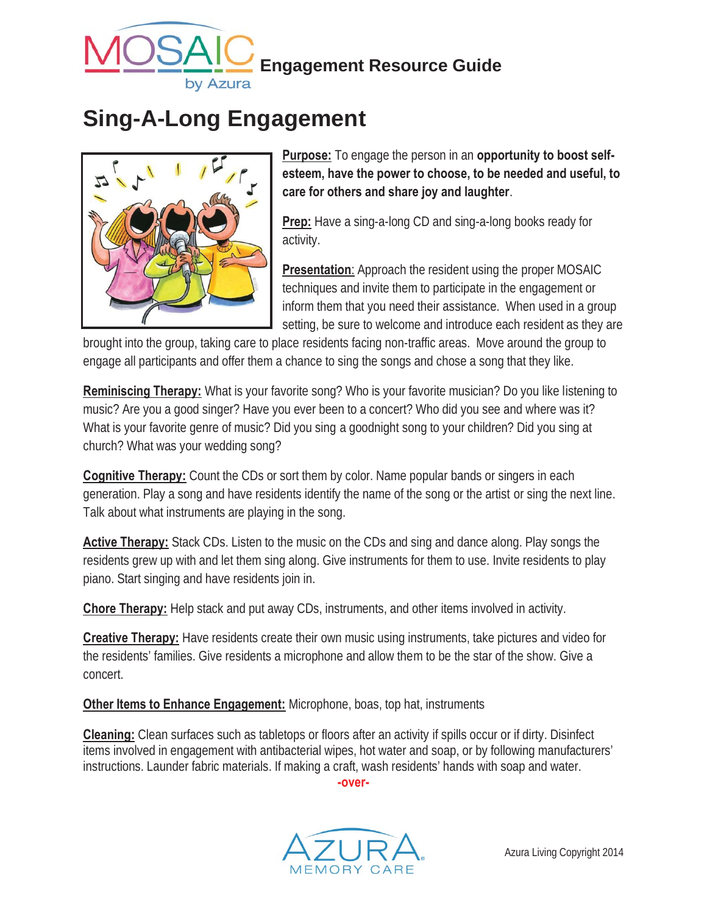

# **Sing-A-Long Engagement**



**Purpose:** To engage the person in an **opportunity to boost selfesteem, have the power to choose, to be needed and useful, to care for others and share joy and laughter**.

**Prep:** Have a sing-a-long CD and sing-a-long books ready for activity.

**Presentation**: Approach the resident using the proper MOSAIC techniques and invite them to participate in the engagement or inform them that you need their assistance. When used in a group setting, be sure to welcome and introduce each resident as they are

brought into the group, taking care to place residents facing non-traffic areas. Move around the group to engage all participants and offer them a chance to sing the songs and chose a song that they like.

**Reminiscing Therapy:** What is your favorite song? Who is your favorite musician? Do you like listening to music? Are you a good singer? Have you ever been to a concert? Who did you see and where was it? What is your favorite genre of music? Did you sing a goodnight song to your children? Did you sing at church? What was your wedding song?

**Cognitive Therapy:** Count the CDs or sort them by color. Name popular bands or singers in each generation. Play a song and have residents identify the name of the song or the artist or sing the next line. Talk about what instruments are playing in the song.

**Active Therapy:** Stack CDs. Listen to the music on the CDs and sing and dance along. Play songs the residents grew up with and let them sing along. Give instruments for them to use. Invite residents to play piano. Start singing and have residents join in.

**Chore Therapy:** Help stack and put away CDs, instruments, and other items involved in activity.

**Creative Therapy:** Have residents create their own music using instruments, take pictures and video for the residents' families. Give residents a microphone and allow them to be the star of the show. Give a concert.

**Other Items to Enhance Engagement:** Microphone, boas, top hat, instruments

**Cleaning:** Clean surfaces such as tabletops or floors after an activity if spills occur or if dirty. Disinfect items involved in engagement with antibacterial wipes, hot water and soap, or by following manufacturers' instructions. Launder fabric materials. If making a craft, wash residents' hands with soap and water.

**-over-** 

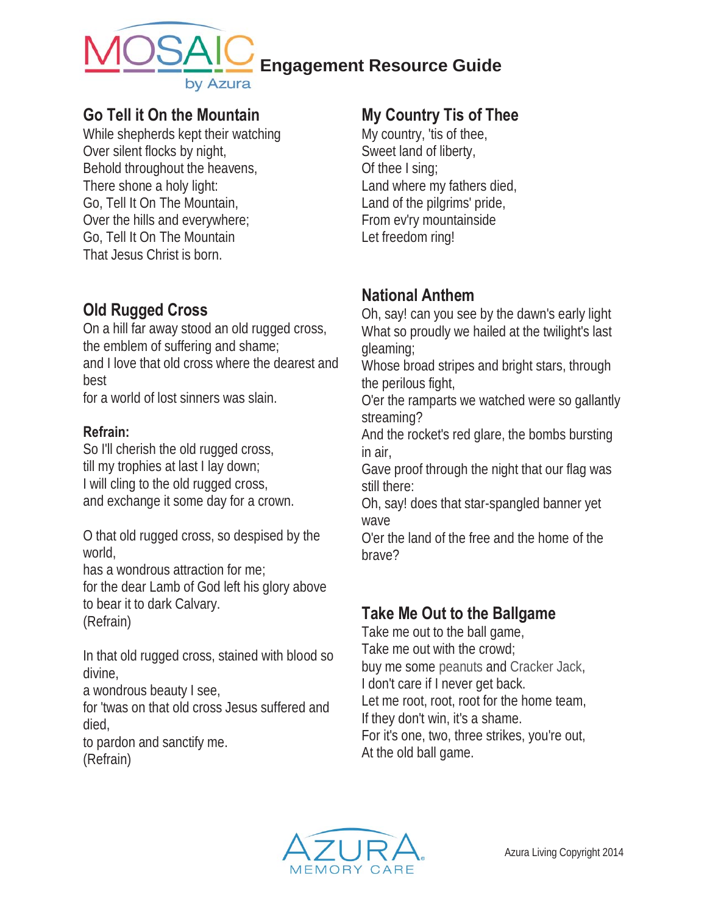

#### **Engagement Resource Guide**

#### **Go Tell it On the Mountain**

While shepherds kept their watching Over silent flocks by night, Behold throughout the heavens, There shone a holy light: Go, Tell It On The Mountain, Over the hills and everywhere; Go, Tell It On The Mountain That Jesus Christ is born.

### **Old Rugged Cross**

On a hill far away stood an old rugged cross, the emblem of suffering and shame; and I love that old cross where the dearest and best for a world of lost sinners was slain.

**Refrain:** 

So I'll cherish the old rugged cross, till my trophies at last I lay down; I will cling to the old rugged cross, and exchange it some day for a crown.

O that old rugged cross, so despised by the world,

has a wondrous attraction for me; for the dear Lamb of God left his glory above to bear it to dark Calvary. (Refrain)

In that old rugged cross, stained with blood so divine,

a wondrous beauty I see,

for 'twas on that old cross Jesus suffered and died,

to pardon and sanctify me. (Refrain)

#### **My Country Tis of Thee**

My country, 'tis of thee, Sweet land of liberty, Of thee I sing; Land where my fathers died, Land of the pilgrims' pride, From ev'ry mountainside Let freedom ring!

#### **National Anthem**

Oh, say! can you see by the dawn's early light What so proudly we hailed at the twilight's last gleaming;

Whose broad stripes and bright stars, through the perilous fight,

O'er the ramparts we watched were so gallantly streaming?

And the rocket's red glare, the bombs bursting in air,

Gave proof through the night that our flag was still there:

Oh, say! does that star-spangled banner yet wave

O'er the land of the free and the home of the brave?

## **Take Me Out to the Ballgame**

Take me out to the ball game, Take me out with the crowd; buy me some peanuts and Cracker Jack, I don't care if I never get back. Let me root, root, root for the home team, If they don't win, it's a shame. For it's one, two, three strikes, you're out, At the old ball game.

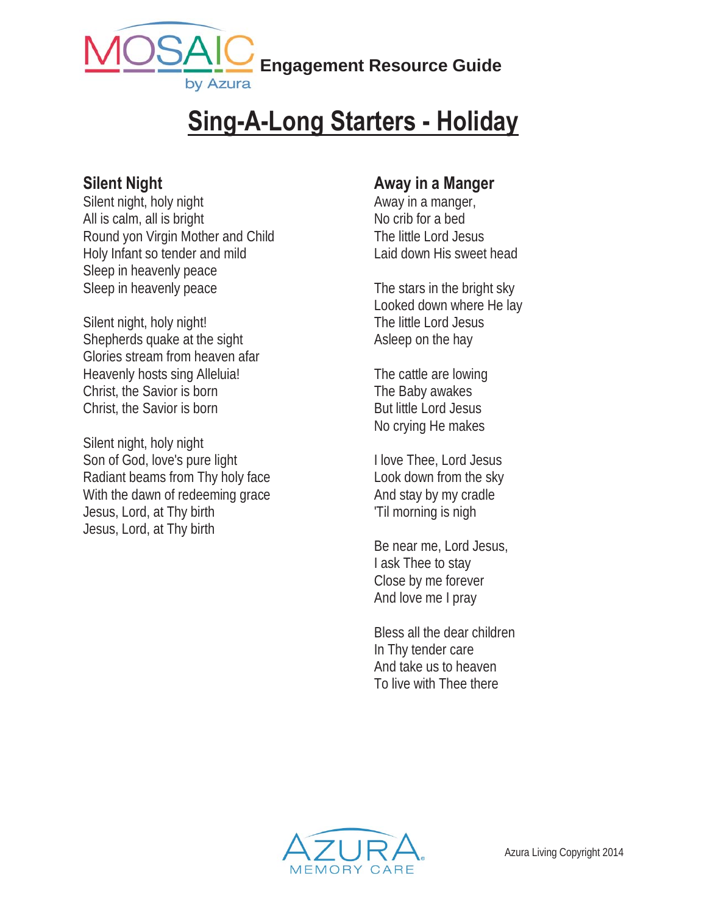

# **Sing-A-Long Starters - Holiday**

#### **Silent Night**

Silent night, holy night All is calm, all is bright Round yon Virgin Mother and Child Holy Infant so tender and mild Sleep in heavenly peace Sleep in heavenly peace

Silent night, holy night! Shepherds quake at the sight Glories stream from heaven afar Heavenly hosts sing Alleluia! Christ, the Savior is born Christ, the Savior is born

Silent night, holy night Son of God, love's pure light Radiant beams from Thy holy face With the dawn of redeeming grace Jesus, Lord, at Thy birth Jesus, Lord, at Thy birth

#### **Away in a Manger**

Away in a manger, No crib for a bed The little Lord Jesus Laid down His sweet head

The stars in the bright sky Looked down where He lay The little Lord Jesus Asleep on the hay

The cattle are lowing The Baby awakes But little Lord Jesus No crying He makes

I love Thee, Lord Jesus Look down from the sky And stay by my cradle 'Til morning is nigh

Be near me, Lord Jesus, I ask Thee to stay Close by me forever And love me I pray

Bless all the dear children In Thy tender care And take us to heaven To live with Thee there

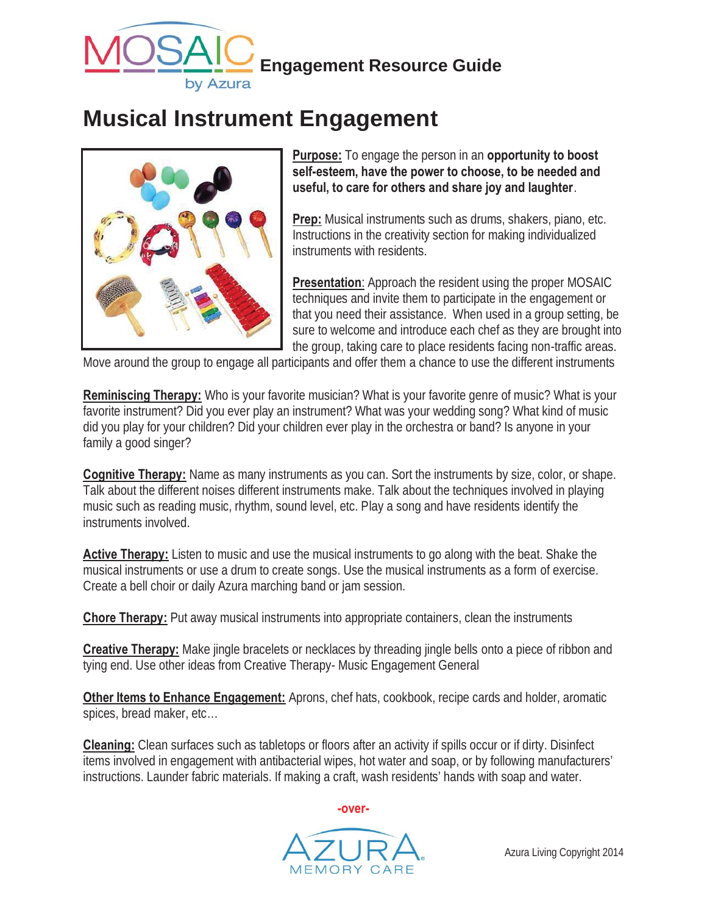

## **Musical Instrument Engagement**



**Purpose:** To engage the person in an **opportunity to boost self-esteem, have the power to choose, to be needed and useful, to care for others and share joy and laughter**.

**Prep:** Musical instruments such as drums, shakers, piano, etc. Instructions in the creativity section for making individualized instruments with residents.

**Presentation**: Approach the resident using the proper MOSAIC techniques and invite them to participate in the engagement or that you need their assistance. When used in a group setting, be sure to welcome and introduce each chef as they are brought into the group, taking care to place residents facing non-traffic areas.

Move around the group to engage all participants and offer them a chance to use the different instruments

**Reminiscing Therapy:** Who is your favorite musician? What is your favorite genre of music? What is your favorite instrument? Did you ever play an instrument? What was your wedding song? What kind of music did you play for your children? Did your children ever play in the orchestra or band? Is anyone in your family a good singer?

**Cognitive Therapy:** Name as many instruments as you can. Sort the instruments by size, color, or shape. Talk about the different noises different instruments make. Talk about the techniques involved in playing music such as reading music, rhythm, sound level, etc. Play a song and have residents identify the instruments involved.

**Active Therapy:** Listen to music and use the musical instruments to go along with the beat. Shake the musical instruments or use a drum to create songs. Use the musical instruments as a form of exercise. Create a bell choir or daily Azura marching band or jam session.

**Chore Therapy:** Put away musical instruments into appropriate containers, clean the instruments

**Creative Therapy:** Make jingle bracelets or necklaces by threading jingle bells onto a piece of ribbon and tying end. Use other ideas from Creative Therapy- Music Engagement General

**Other Items to Enhance Engagement:** Aprons, chef hats, cookbook, recipe cards and holder, aromatic spices, bread maker, etc…

**Cleaning:** Clean surfaces such as tabletops or floors after an activity if spills occur or if dirty. Disinfect items involved in engagement with antibacterial wipes, hot water and soap, or by following manufacturers' instructions. Launder fabric materials. If making a craft, wash residents' hands with soap and water.

**-over-**